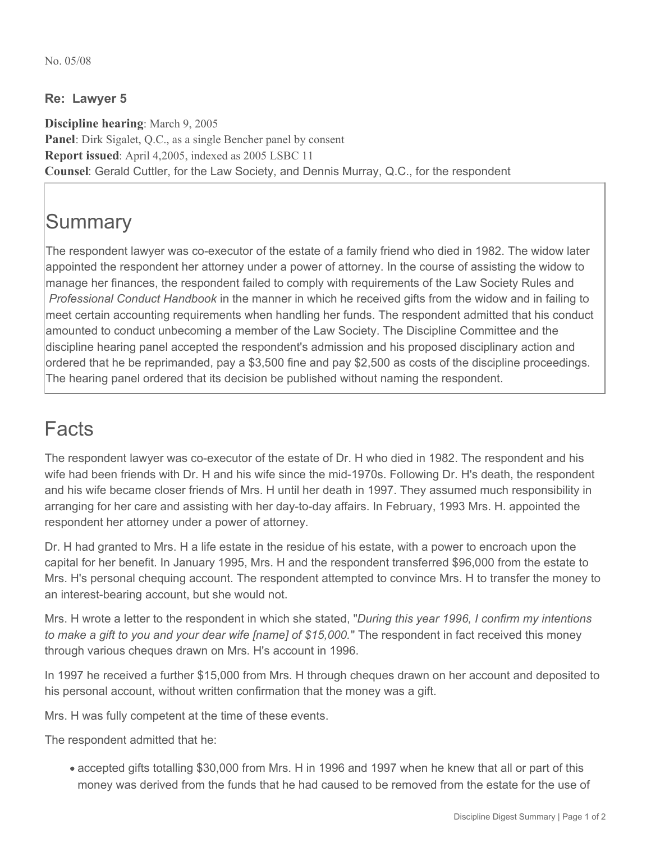## **Re: Lawyer 5**

**Discipline hearing**: March 9, 2005 **Panel**: Dirk Sigalet, Q.C., as a single Bencher panel by consent **Report issued**: April 4,2005, indexed as 2005 LSBC 11 **Counsel**: Gerald Cuttler, for the Law Society, and Dennis Murray, Q.C., for the respondent

## **Summary**

The respondent lawyer was co-executor of the estate of a family friend who died in 1982. The widow later appointed the respondent her attorney under a power of attorney. In the course of assisting the widow to manage her finances, the respondent failed to comply with requirements of the Law Society Rules and *Professional Conduct Handbook* in the manner in which he received gifts from the widow and in failing to meet certain accounting requirements when handling her funds. The respondent admitted that his conduct amounted to conduct unbecoming a member of the Law Society. The Discipline Committee and the discipline hearing panel accepted the respondent's admission and his proposed disciplinary action and ordered that he be reprimanded, pay a \$3,500 fine and pay \$2,500 as costs of the discipline proceedings. The hearing panel ordered that its decision be published without naming the respondent.

## Facts

The respondent lawyer was co-executor of the estate of Dr. H who died in 1982. The respondent and his wife had been friends with Dr. H and his wife since the mid-1970s. Following Dr. H's death, the respondent and his wife became closer friends of Mrs. H until her death in 1997. They assumed much responsibility in arranging for her care and assisting with her day-to-day affairs. In February, 1993 Mrs. H. appointed the respondent her attorney under a power of attorney.

Dr. H had granted to Mrs. H a life estate in the residue of his estate, with a power to encroach upon the capital for her benefit. In January 1995, Mrs. H and the respondent transferred \$96,000 from the estate to Mrs. H's personal chequing account. The respondent attempted to convince Mrs. H to transfer the money to an interest-bearing account, but she would not.

Mrs. H wrote a letter to the respondent in which she stated, "*During this year 1996, I confirm my intentions to make a gift to you and your dear wife [name] of \$15,000.*" The respondent in fact received this money through various cheques drawn on Mrs. H's account in 1996.

In 1997 he received a further \$15,000 from Mrs. H through cheques drawn on her account and deposited to his personal account, without written confirmation that the money was a gift.

Mrs. H was fully competent at the time of these events.

The respondent admitted that he:

accepted gifts totalling \$30,000 from Mrs. H in 1996 and 1997 when he knew that all or part of this money was derived from the funds that he had caused to be removed from the estate for the use of